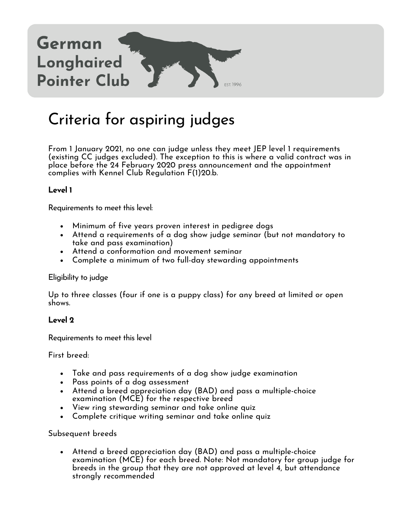

# Criteria for aspiring judges

From 1 January 2021, no one can judge unless they meet JEP level 1 requirements (existing CC judges excluded). The exception to this is where a valid contract was in place before the 24 February 2020 press announcement and the appointment complies with Kennel Club Regulation F(1)20.b.

## **Level 1**

Requirements to meet this level:

- Minimum of five years proven interest in pedigree dogs
- Attend a requirements of a dog show judge seminar (but not mandatory to take and pass examination)
- Attend a conformation and movement seminar
- Complete a minimum of two full-day stewarding appointments

#### Eligibility to judge

Up to three classes (four if one is a puppy class) for any breed at limited or open shows.

## **Level 2**

Requirements to meet this level

First breed:

- Take and pass requirements of a dog show judge examination
- Pass points of a dog assessment
- Attend a breed appreciation day (BAD) and pass a multiple-choice examination (MCE) for the respective breed
- View ring stewarding seminar and take online quiz
- Complete critique writing seminar and take online quiz

#### Subsequent breeds

• Attend a breed appreciation day (BAD) and pass a multiple-choice examination (MCE) for each breed. Note: Not mandatory for group judge for breeds in the group that they are not approved at level 4, but attendance strongly recommended